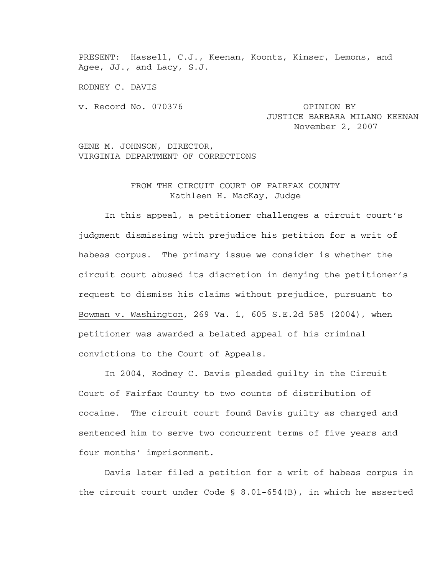PRESENT: Hassell, C.J., Keenan, Koontz, Kinser, Lemons, and Agee, JJ., and Lacy, S.J.

RODNEY C. DAVIS

v. Record No. 070376 OPINION BY

JUSTICE BARBARA MILANO KEENAN November 2, 2007

GENE M. JOHNSON, DIRECTOR, VIRGINIA DEPARTMENT OF CORRECTIONS

## FROM THE CIRCUIT COURT OF FAIRFAX COUNTY Kathleen H. MacKay, Judge

 In this appeal, a petitioner challenges a circuit court's judgment dismissing with prejudice his petition for a writ of habeas corpus. The primary issue we consider is whether the circuit court abused its discretion in denying the petitioner's request to dismiss his claims without prejudice, pursuant to Bowman v. Washington, 269 Va. 1, 605 S.E.2d 585 (2004), when petitioner was awarded a belated appeal of his criminal convictions to the Court of Appeals.

In 2004, Rodney C. Davis pleaded guilty in the Circuit Court of Fairfax County to two counts of distribution of cocaine. The circuit court found Davis guilty as charged and sentenced him to serve two concurrent terms of five years and four months' imprisonment.

Davis later filed a petition for a writ of habeas corpus in the circuit court under Code  $\S$  8.01-654(B), in which he asserted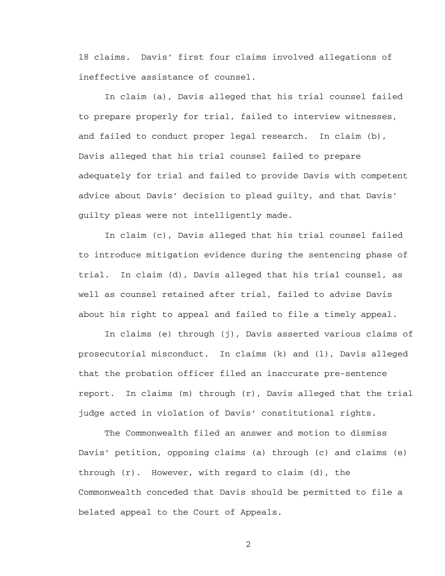18 claims. Davis' first four claims involved allegations of ineffective assistance of counsel.

In claim (a), Davis alleged that his trial counsel failed to prepare properly for trial, failed to interview witnesses, and failed to conduct proper legal research. In claim (b), Davis alleged that his trial counsel failed to prepare adequately for trial and failed to provide Davis with competent advice about Davis' decision to plead guilty, and that Davis' guilty pleas were not intelligently made.

In claim (c), Davis alleged that his trial counsel failed to introduce mitigation evidence during the sentencing phase of trial. In claim (d), Davis alleged that his trial counsel, as well as counsel retained after trial, failed to advise Davis about his right to appeal and failed to file a timely appeal.

 In claims (e) through (j), Davis asserted various claims of prosecutorial misconduct. In claims (k) and (l), Davis alleged that the probation officer filed an inaccurate pre-sentence report. In claims (m) through (r), Davis alleged that the trial judge acted in violation of Davis' constitutional rights.

The Commonwealth filed an answer and motion to dismiss Davis' petition, opposing claims (a) through (c) and claims (e) through  $(r)$ . However, with regard to claim  $(d)$ , the Commonwealth conceded that Davis should be permitted to file a belated appeal to the Court of Appeals.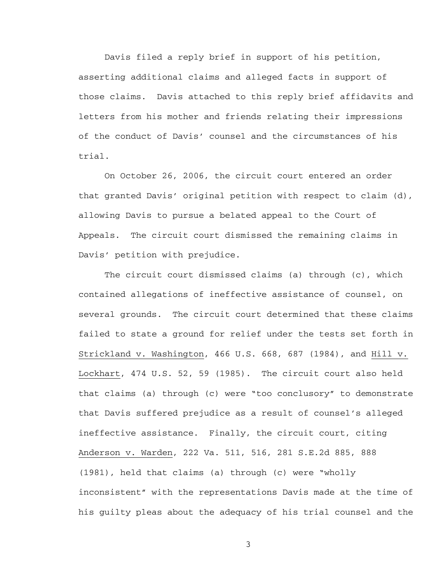Davis filed a reply brief in support of his petition, asserting additional claims and alleged facts in support of those claims. Davis attached to this reply brief affidavits and letters from his mother and friends relating their impressions of the conduct of Davis' counsel and the circumstances of his trial.

 On October 26, 2006, the circuit court entered an order that granted Davis' original petition with respect to claim (d), allowing Davis to pursue a belated appeal to the Court of Appeals. The circuit court dismissed the remaining claims in Davis' petition with prejudice.

The circuit court dismissed claims (a) through (c), which contained allegations of ineffective assistance of counsel, on several grounds. The circuit court determined that these claims failed to state a ground for relief under the tests set forth in Strickland v. Washington, 466 U.S. 668, 687 (1984), and Hill v. Lockhart, 474 U.S. 52, 59 (1985). The circuit court also held that claims (a) through (c) were "too conclusory" to demonstrate that Davis suffered prejudice as a result of counsel's alleged ineffective assistance. Finally, the circuit court, citing Anderson v. Warden, 222 Va. 511, 516, 281 S.E.2d 885, 888 (1981), held that claims (a) through (c) were "wholly inconsistent" with the representations Davis made at the time of his guilty pleas about the adequacy of his trial counsel and the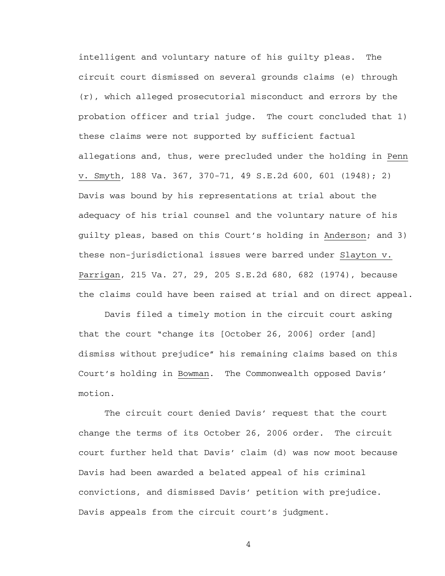intelligent and voluntary nature of his guilty pleas. The circuit court dismissed on several grounds claims (e) through (r), which alleged prosecutorial misconduct and errors by the probation officer and trial judge. The court concluded that 1) these claims were not supported by sufficient factual allegations and, thus, were precluded under the holding in Penn v. Smyth, 188 Va. 367, 370-71, 49 S.E.2d 600, 601 (1948); 2) Davis was bound by his representations at trial about the adequacy of his trial counsel and the voluntary nature of his guilty pleas, based on this Court's holding in Anderson; and 3) these non-jurisdictional issues were barred under Slayton v. Parrigan, 215 Va. 27, 29, 205 S.E.2d 680, 682 (1974), because the claims could have been raised at trial and on direct appeal.

 Davis filed a timely motion in the circuit court asking that the court "change its [October 26, 2006] order [and] dismiss without prejudice" his remaining claims based on this Court's holding in Bowman. The Commonwealth opposed Davis' motion.

 The circuit court denied Davis' request that the court change the terms of its October 26, 2006 order. The circuit court further held that Davis' claim (d) was now moot because Davis had been awarded a belated appeal of his criminal convictions, and dismissed Davis' petition with prejudice. Davis appeals from the circuit court's judgment.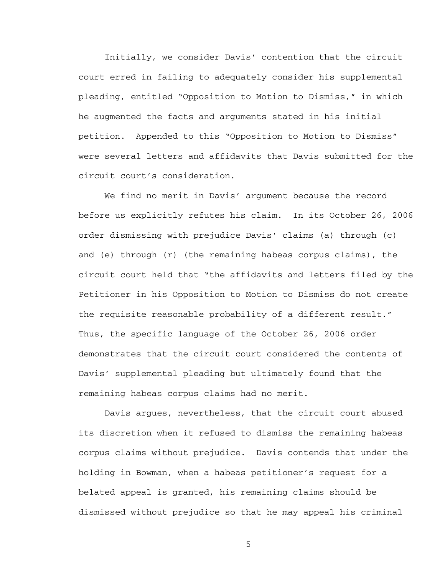Initially, we consider Davis' contention that the circuit court erred in failing to adequately consider his supplemental pleading, entitled "Opposition to Motion to Dismiss," in which he augmented the facts and arguments stated in his initial petition. Appended to this "Opposition to Motion to Dismiss" were several letters and affidavits that Davis submitted for the circuit court's consideration.

We find no merit in Davis' argument because the record before us explicitly refutes his claim. In its October 26, 2006 order dismissing with prejudice Davis' claims (a) through (c) and (e) through (r) (the remaining habeas corpus claims), the circuit court held that "the affidavits and letters filed by the Petitioner in his Opposition to Motion to Dismiss do not create the requisite reasonable probability of a different result." Thus, the specific language of the October 26, 2006 order demonstrates that the circuit court considered the contents of Davis' supplemental pleading but ultimately found that the remaining habeas corpus claims had no merit.

Davis argues, nevertheless, that the circuit court abused its discretion when it refused to dismiss the remaining habeas corpus claims without prejudice. Davis contends that under the holding in Bowman, when a habeas petitioner's request for a belated appeal is granted, his remaining claims should be dismissed without prejudice so that he may appeal his criminal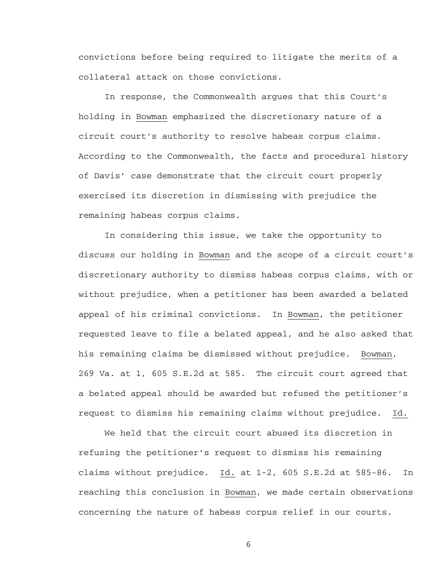convictions before being required to litigate the merits of a collateral attack on those convictions.

 In response, the Commonwealth argues that this Court's holding in Bowman emphasized the discretionary nature of a circuit court's authority to resolve habeas corpus claims. According to the Commonwealth, the facts and procedural history of Davis' case demonstrate that the circuit court properly exercised its discretion in dismissing with prejudice the remaining habeas corpus claims.

 In considering this issue, we take the opportunity to discuss our holding in Bowman and the scope of a circuit court's discretionary authority to dismiss habeas corpus claims, with or without prejudice, when a petitioner has been awarded a belated appeal of his criminal convictions. In Bowman, the petitioner requested leave to file a belated appeal, and he also asked that his remaining claims be dismissed without prejudice. Bowman, 269 Va. at 1, 605 S.E.2d at 585. The circuit court agreed that a belated appeal should be awarded but refused the petitioner's request to dismiss his remaining claims without prejudice. Id.

We held that the circuit court abused its discretion in refusing the petitioner's request to dismiss his remaining claims without prejudice. Id. at 1-2, 605 S.E.2d at 585-86. In reaching this conclusion in Bowman, we made certain observations concerning the nature of habeas corpus relief in our courts.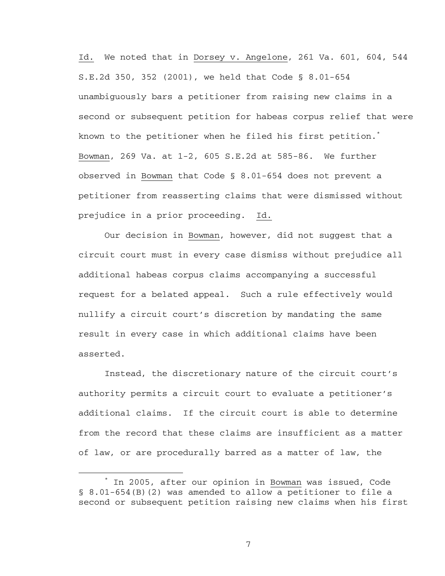Id. We noted that in Dorsey v. Angelone, 261 Va. 601, 604, 544 S.E.2d 350, 352 (2001), we held that Code § 8.01-654 unambiguously bars a petitioner from raising new claims in a second or subsequent petition for habeas corpus relief that were known to the petitioner when he filed his first petition.<sup>\*</sup> Bowman, 269 Va. at 1-2, 605 S.E.2d at 585-86. We further observed in Bowman that Code § 8.01-654 does not prevent a petitioner from reasserting claims that were dismissed without prejudice in a prior proceeding. Id.

Our decision in Bowman, however, did not suggest that a circuit court must in every case dismiss without prejudice all additional habeas corpus claims accompanying a successful request for a belated appeal. Such a rule effectively would nullify a circuit court's discretion by mandating the same result in every case in which additional claims have been asserted.

Instead, the discretionary nature of the circuit court's authority permits a circuit court to evaluate a petitioner's additional claims. If the circuit court is able to determine from the record that these claims are insufficient as a matter of law, or are procedurally barred as a matter of law, the

 $\overline{\phantom{a}}$  In 2005, after our opinion in Bowman was issued, Code § 8.01-654(B)(2) was amended to allow a petitioner to file a second or subsequent petition raising new claims when his first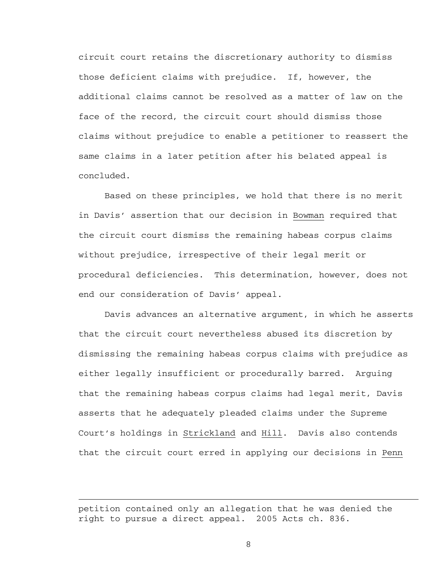circuit court retains the discretionary authority to dismiss those deficient claims with prejudice. If, however, the additional claims cannot be resolved as a matter of law on the face of the record, the circuit court should dismiss those claims without prejudice to enable a petitioner to reassert the same claims in a later petition after his belated appeal is concluded.

 Based on these principles, we hold that there is no merit in Davis' assertion that our decision in Bowman required that the circuit court dismiss the remaining habeas corpus claims without prejudice, irrespective of their legal merit or procedural deficiencies. This determination, however, does not end our consideration of Davis' appeal.

Davis advances an alternative argument, in which he asserts that the circuit court nevertheless abused its discretion by dismissing the remaining habeas corpus claims with prejudice as either legally insufficient or procedurally barred. Arguing that the remaining habeas corpus claims had legal merit, Davis asserts that he adequately pleaded claims under the Supreme Court's holdings in Strickland and Hill. Davis also contends that the circuit court erred in applying our decisions in Penn

i

petition contained only an allegation that he was denied the right to pursue a direct appeal. 2005 Acts ch. 836.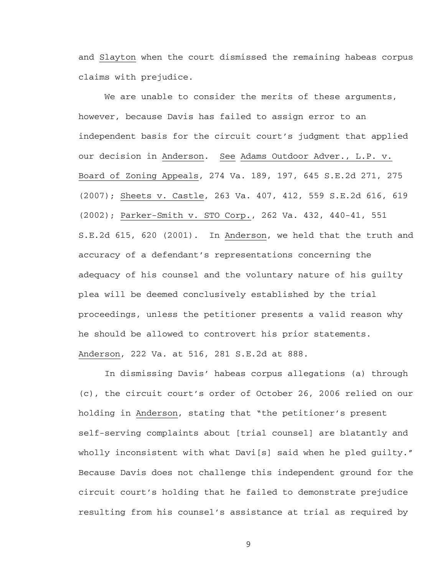and Slayton when the court dismissed the remaining habeas corpus claims with prejudice.

We are unable to consider the merits of these arguments, however, because Davis has failed to assign error to an independent basis for the circuit court's judgment that applied our decision in Anderson. See Adams Outdoor Adver., L.P. v. Board of Zoning Appeals, 274 Va. 189, 197, 645 S.E.2d 271, 275 (2007); Sheets v. Castle, 263 Va. 407, 412, 559 S.E.2d 616, 619 (2002); Parker-Smith v. STO Corp., 262 Va. 432, 440-41, 551 S.E.2d 615, 620 (2001). In Anderson, we held that the truth and accuracy of a defendant's representations concerning the adequacy of his counsel and the voluntary nature of his guilty plea will be deemed conclusively established by the trial proceedings, unless the petitioner presents a valid reason why he should be allowed to controvert his prior statements. Anderson, 222 Va. at 516, 281 S.E.2d at 888.

In dismissing Davis' habeas corpus allegations (a) through (c), the circuit court's order of October 26, 2006 relied on our holding in Anderson, stating that "the petitioner's present self-serving complaints about [trial counsel] are blatantly and wholly inconsistent with what Davi[s] said when he pled guilty." Because Davis does not challenge this independent ground for the circuit court's holding that he failed to demonstrate prejudice resulting from his counsel's assistance at trial as required by